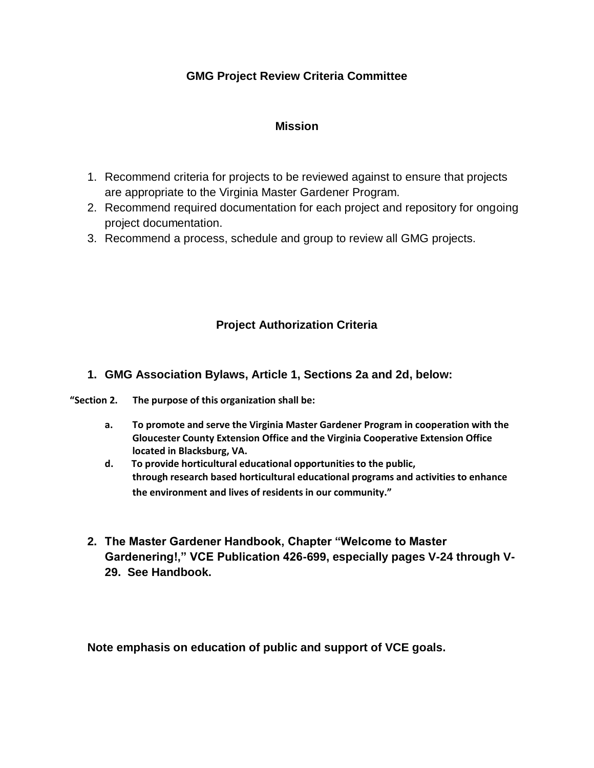# **GMG Project Review Criteria Committee**

#### **Mission**

- 1. Recommend criteria for projects to be reviewed against to ensure that projects are appropriate to the Virginia Master Gardener Program.
- 2. Recommend required documentation for each project and repository for ongoing project documentation.
- 3. Recommend a process, schedule and group to review all GMG projects.

# **Project Authorization Criteria**

### **1. GMG Association Bylaws, Article 1, Sections 2a and 2d, below:**

- **"Section 2. The purpose of this organization shall be:**
	- **a. To promote and serve the Virginia Master Gardener Program in cooperation with the Gloucester County Extension Office and the Virginia Cooperative Extension Office located in Blacksburg, VA.**
	- **d. To provide horticultural educational opportunities to the public, through research based horticultural educational programs and activities to enhance the environment and lives of residents in our community."**
	- **2. The Master Gardener Handbook, Chapter "Welcome to Master Gardenering!," VCE Publication 426-699, especially pages V-24 through V-29. See Handbook.**

**Note emphasis on education of public and support of VCE goals.**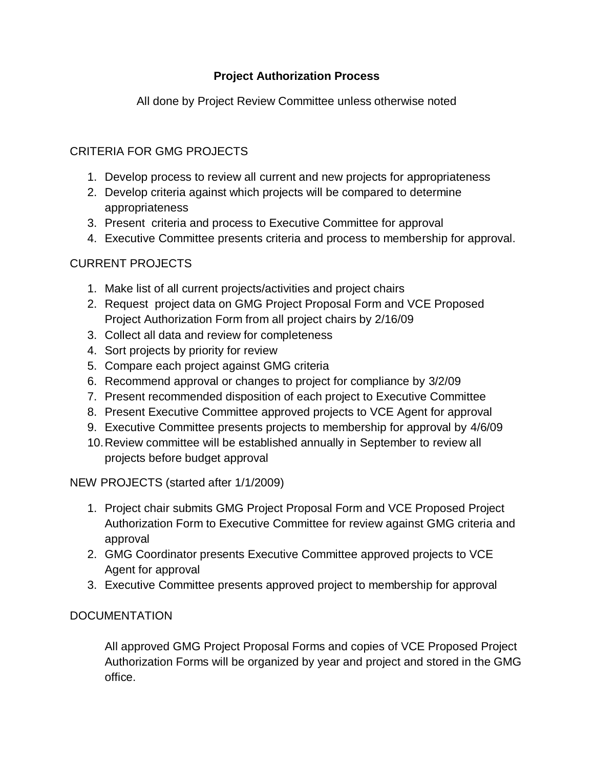# **Project Authorization Process**

All done by Project Review Committee unless otherwise noted

# CRITERIA FOR GMG PROJECTS

- 1. Develop process to review all current and new projects for appropriateness
- 2. Develop criteria against which projects will be compared to determine appropriateness
- 3. Present criteria and process to Executive Committee for approval
- 4. Executive Committee presents criteria and process to membership for approval.

## CURRENT PROJECTS

- 1. Make list of all current projects/activities and project chairs
- 2. Request project data on GMG Project Proposal Form and VCE Proposed Project Authorization Form from all project chairs by 2/16/09
- 3. Collect all data and review for completeness
- 4. Sort projects by priority for review
- 5. Compare each project against GMG criteria
- 6. Recommend approval or changes to project for compliance by 3/2/09
- 7. Present recommended disposition of each project to Executive Committee
- 8. Present Executive Committee approved projects to VCE Agent for approval
- 9. Executive Committee presents projects to membership for approval by 4/6/09
- 10.Review committee will be established annually in September to review all projects before budget approval

#### NEW PROJECTS (started after 1/1/2009)

- 1. Project chair submits GMG Project Proposal Form and VCE Proposed Project Authorization Form to Executive Committee for review against GMG criteria and approval
- 2. GMG Coordinator presents Executive Committee approved projects to VCE Agent for approval
- 3. Executive Committee presents approved project to membership for approval

## **DOCUMENTATION**

All approved GMG Project Proposal Forms and copies of VCE Proposed Project Authorization Forms will be organized by year and project and stored in the GMG office.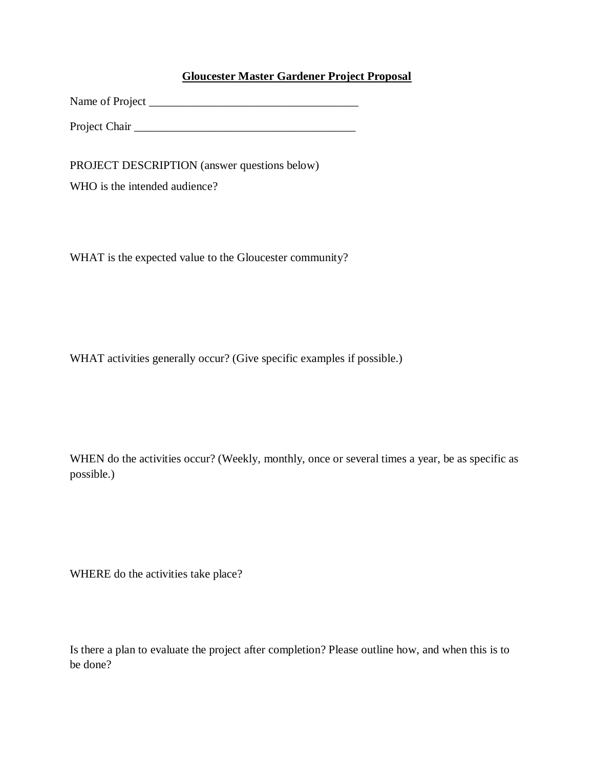#### **Gloucester Master Gardener Project Proposal**

Name of Project \_\_\_\_\_\_\_\_\_\_\_\_\_\_\_\_\_\_\_\_\_\_\_\_\_\_\_\_\_\_\_\_\_\_\_\_

Project Chair Letter and the set of the set of the set of the set of the set of the set of the set of the set of the set of the set of the set of the set of the set of the set of the set of the set of the set of the set of

PROJECT DESCRIPTION (answer questions below)

WHO is the intended audience?

WHAT is the expected value to the Gloucester community?

WHAT activities generally occur? (Give specific examples if possible.)

WHEN do the activities occur? (Weekly, monthly, once or several times a year, be as specific as possible.)

WHERE do the activities take place?

Is there a plan to evaluate the project after completion? Please outline how, and when this is to be done?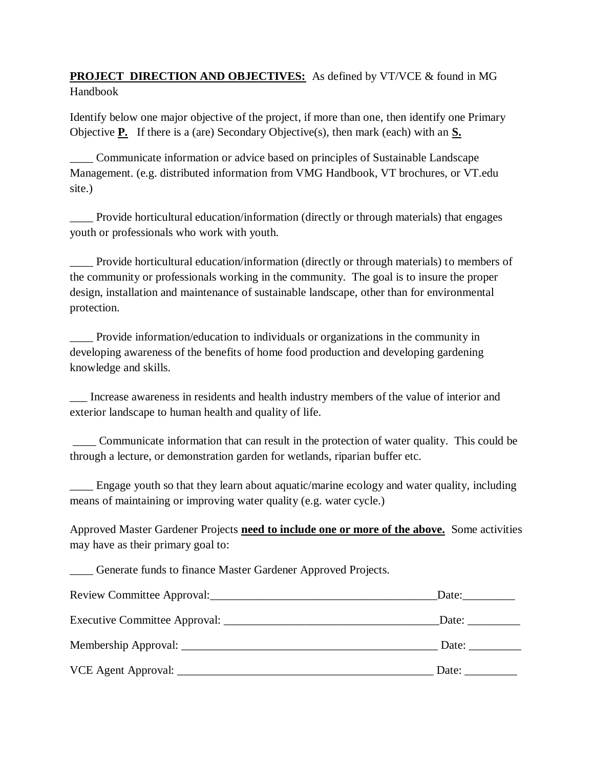## **PROJECT DIRECTION AND OBJECTIVES:** As defined by VT/VCE & found in MG Handbook

Identify below one major objective of the project, if more than one, then identify one Primary Objective **P.** If there is a (are) Secondary Objective(s), then mark (each) with an **S.**

\_\_\_\_ Communicate information or advice based on principles of Sustainable Landscape Management. (e.g. distributed information from VMG Handbook, VT brochures, or VT.edu site.)

\_\_\_\_ Provide horticultural education/information (directly or through materials) that engages youth or professionals who work with youth.

\_\_\_\_ Provide horticultural education/information (directly or through materials) to members of the community or professionals working in the community. The goal is to insure the proper design, installation and maintenance of sustainable landscape, other than for environmental protection.

Provide information/education to individuals or organizations in the community in developing awareness of the benefits of home food production and developing gardening knowledge and skills.

\_\_\_ Increase awareness in residents and health industry members of the value of interior and exterior landscape to human health and quality of life.

\_\_\_\_ Communicate information that can result in the protection of water quality. This could be through a lecture, or demonstration garden for wetlands, riparian buffer etc.

\_\_\_\_ Engage youth so that they learn about aquatic/marine ecology and water quality, including means of maintaining or improving water quality (e.g. water cycle.)

Approved Master Gardener Projects **need to include one or more of the above.** Some activities may have as their primary goal to:

\_\_\_\_ Generate funds to finance Master Gardener Approved Projects.

| Review Committee Approval: | Date: |
|----------------------------|-------|
|                            | Date: |
|                            | Date: |
|                            | Date: |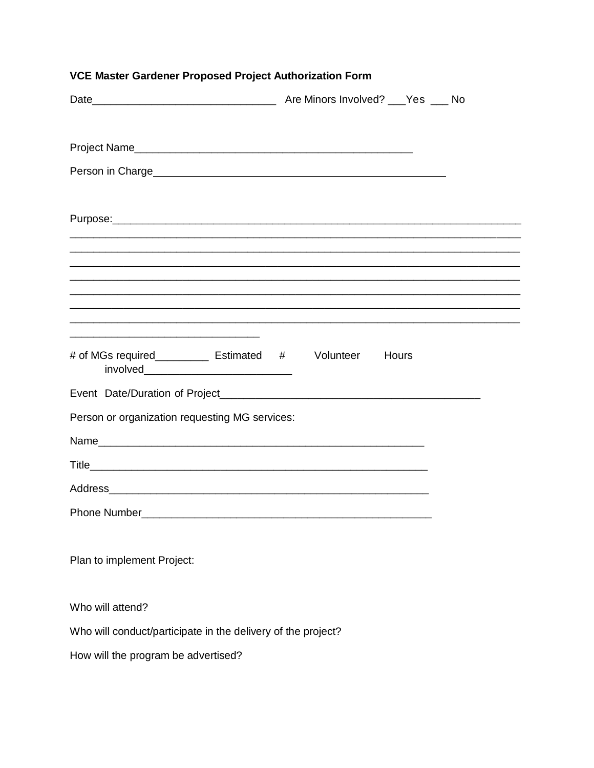| <u> 2000 - 2000 - 2000 - 2000 - 2000 - 2000 - 2000 - 2000 - 2000 - 2000 - 2000 - 2000 - 2000 - 2000 - 2000 - 200</u>                                                                                                                               |  |  |  |
|----------------------------------------------------------------------------------------------------------------------------------------------------------------------------------------------------------------------------------------------------|--|--|--|
| <u> 1980 - Johann Stoff, amerikan bestein de stad in de stad in de stad in de stad in de stad in de stad in de st</u><br><u> 1990 - Johann Stoff, amerikansk politiker (d. 1980)</u><br># of MGs required_____________ Estimated # Volunteer Hours |  |  |  |
|                                                                                                                                                                                                                                                    |  |  |  |
| Person or organization requesting MG services:                                                                                                                                                                                                     |  |  |  |
|                                                                                                                                                                                                                                                    |  |  |  |
|                                                                                                                                                                                                                                                    |  |  |  |
|                                                                                                                                                                                                                                                    |  |  |  |
| Phone Number_______                                                                                                                                                                                                                                |  |  |  |
|                                                                                                                                                                                                                                                    |  |  |  |
| Plan to implement Project:                                                                                                                                                                                                                         |  |  |  |
| Who will attend?                                                                                                                                                                                                                                   |  |  |  |
| Who will conduct/participate in the delivery of the project?                                                                                                                                                                                       |  |  |  |
| How will the program be advertised?                                                                                                                                                                                                                |  |  |  |

#### VCE Master Gardener Proposed Project Authorization Form